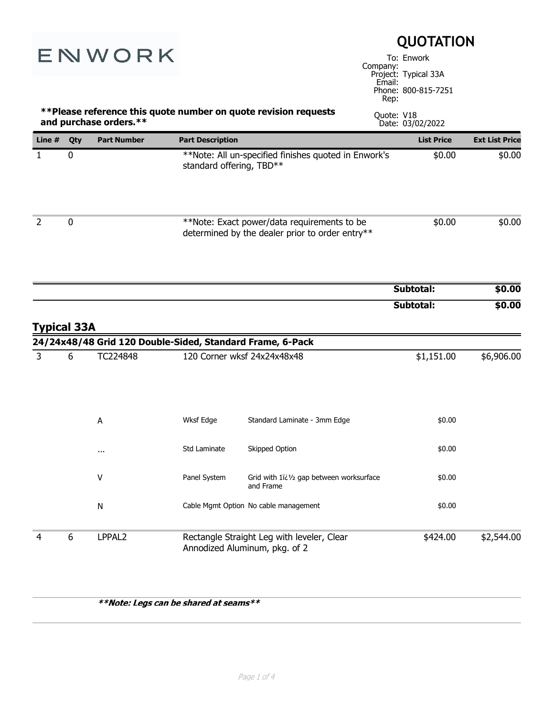|                    |     | <b>QUOTATION</b>                                          |                                          |                                                                                                    |                      |                       |
|--------------------|-----|-----------------------------------------------------------|------------------------------------------|----------------------------------------------------------------------------------------------------|----------------------|-----------------------|
| ENWORK             |     |                                                           |                                          | To: Enwork<br>Company:<br>Project: Typical 33A<br>Email:<br>Phone: 800-815-7251<br>Rep:            |                      |                       |
|                    |     | and purchase orders.**                                    |                                          | ** Please reference this quote number on quote revision requests<br>Quote: V18<br>Date: 03/02/2022 |                      |                       |
| Line #             | Qty | <b>Part Number</b>                                        | <b>Part Description</b>                  |                                                                                                    | <b>List Price</b>    | <b>Ext List Price</b> |
| $\mathbf{1}$       | 0   |                                                           | standard offering, TBD**                 | **Note: All un-specified finishes quoted in Enwork's                                               | \$0.00               | \$0.00                |
| $\overline{2}$     | 0   |                                                           |                                          | **Note: Exact power/data requirements to be<br>determined by the dealer prior to order entry**     | \$0.00               | \$0.00                |
|                    |     |                                                           |                                          |                                                                                                    | Subtotal:            | \$0.00                |
| <b>Typical 33A</b> |     |                                                           |                                          |                                                                                                    | Subtotal:            | \$0.00                |
|                    |     | 24/24x48/48 Grid 120 Double-Sided, Standard Frame, 6-Pack |                                          |                                                                                                    |                      |                       |
| 3                  | 6   | TC224848<br>A                                             | 120 Corner wksf 24x24x48x48<br>Wksf Edge | Standard Laminate - 3mm Edge                                                                       | \$1,151.00<br>\$0.00 | \$6,906.00            |
|                    |     | $\cdots$                                                  | Std Laminate                             | Skipped Option                                                                                     | \$0.00               |                       |
|                    |     | V                                                         | Panel System                             | Grid with 1ï¿1/2 gap between worksurface<br>and Frame                                              | \$0.00               |                       |
|                    |     | ${\sf N}$                                                 |                                          | Cable Mgmt Option No cable management                                                              | \$0.00               |                       |
|                    |     |                                                           |                                          |                                                                                                    |                      |                       |

\*\*Note: Legs can be shared at seams\*\*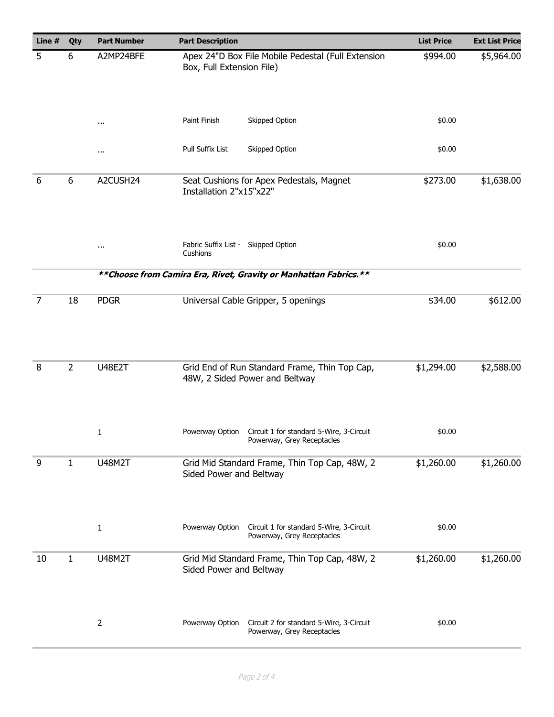| Line # | Qty            | <b>Part Number</b>                                                 | <b>Part Description</b>                                                                   | <b>List Price</b> | <b>Ext List Price</b> |
|--------|----------------|--------------------------------------------------------------------|-------------------------------------------------------------------------------------------|-------------------|-----------------------|
| 5      | A2MP24BFE<br>6 |                                                                    | Apex 24"D Box File Mobile Pedestal (Full Extension<br>Box, Full Extension File)           | \$994.00          | \$5,964.00            |
|        |                | $\cdots$                                                           | Paint Finish<br>Skipped Option                                                            | \$0.00            |                       |
|        |                | $\cdots$                                                           | Pull Suffix List<br>Skipped Option                                                        | \$0.00            |                       |
| 6      | 6              | A2CUSH24                                                           | Seat Cushions for Apex Pedestals, Magnet<br>Installation 2"x15"x22"                       | \$273.00          | \$1,638.00            |
|        |                | $\cdots$                                                           | Fabric Suffix List - Skipped Option<br>Cushions                                           | \$0.00            |                       |
|        |                | ** Choose from Camira Era, Rivet, Gravity or Manhattan Fabrics. ** |                                                                                           |                   |                       |
| 7      | 18             | <b>PDGR</b>                                                        | Universal Cable Gripper, 5 openings                                                       | \$34.00           | \$612.00              |
| 8      | $\overline{2}$ | <b>U48E2T</b>                                                      | Grid End of Run Standard Frame, Thin Top Cap,<br>48W, 2 Sided Power and Beltway           | \$1,294.00        | \$2,588.00            |
|        |                | 1                                                                  | Powerway Option<br>Circuit 1 for standard 5-Wire, 3-Circuit<br>Powerway, Grey Receptacles | \$0.00            |                       |
| 9      | 1              | <b>U48M2T</b>                                                      | Grid Mid Standard Frame, Thin Top Cap, 48W, 2<br>Sided Power and Beltway                  | \$1,260.00        | \$1,260.00            |
|        |                | $\mathbf{1}$                                                       | Powerway Option<br>Circuit 1 for standard 5-Wire, 3-Circuit<br>Powerway, Grey Receptacles | \$0.00            |                       |
| 10     | 1              | <b>U48M2T</b>                                                      | Grid Mid Standard Frame, Thin Top Cap, 48W, 2<br>Sided Power and Beltway                  | \$1,260.00        | \$1,260.00            |
|        |                | $\overline{2}$                                                     | Powerway Option<br>Circuit 2 for standard 5-Wire, 3-Circuit<br>Powerway, Grey Receptacles | \$0.00            |                       |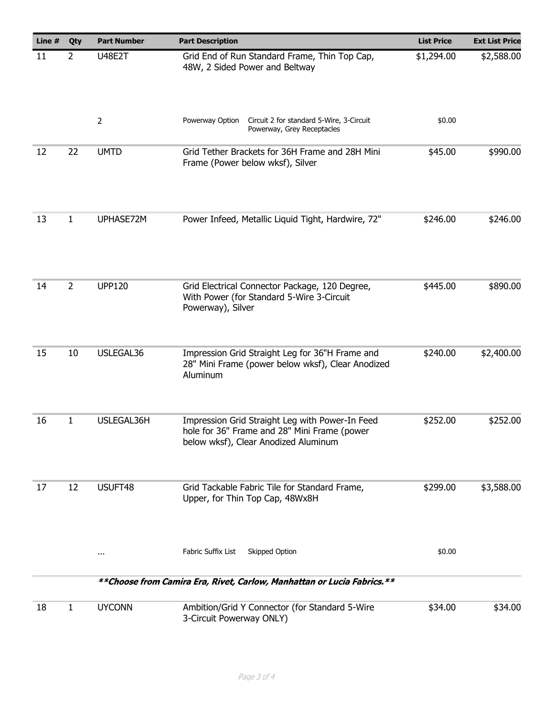| Line $#$ | Qty            | <b>Part Number</b> | <b>Part Description</b>                                                                                                                 | <b>List Price</b> | <b>Ext List Price</b> |
|----------|----------------|--------------------|-----------------------------------------------------------------------------------------------------------------------------------------|-------------------|-----------------------|
| 11       | $\mathbf{2}$   | <b>U48E2T</b>      | Grid End of Run Standard Frame, Thin Top Cap,<br>48W, 2 Sided Power and Beltway                                                         |                   | \$2,588.00            |
|          |                | $\overline{2}$     | Powerway Option<br>Circuit 2 for standard 5-Wire, 3-Circuit<br>Powerway, Grey Receptacles                                               | \$0.00            |                       |
| 12       | 22             | <b>UMTD</b>        | Grid Tether Brackets for 36H Frame and 28H Mini<br>Frame (Power below wksf), Silver                                                     | \$45.00           | \$990.00              |
| 13       | 1              | UPHASE72M          | Power Infeed, Metallic Liquid Tight, Hardwire, 72"                                                                                      | \$246.00          | \$246.00              |
| 14       | $\overline{2}$ | <b>UPP120</b>      | Grid Electrical Connector Package, 120 Degree,<br>With Power (for Standard 5-Wire 3-Circuit<br>Powerway), Silver                        | \$445.00          | \$890.00              |
| 15       | 10             | USLEGAL36          | Impression Grid Straight Leg for 36"H Frame and<br>28" Mini Frame (power below wksf), Clear Anodized<br>Aluminum                        | \$240.00          | \$2,400.00            |
| 16       | $\mathbf{1}$   | USLEGAL36H         | Impression Grid Straight Leg with Power-In Feed<br>hole for 36" Frame and 28" Mini Frame (power<br>below wksf), Clear Anodized Aluminum | \$252.00          | \$252.00              |
| 17       | 12             | USUFT48            | Grid Tackable Fabric Tile for Standard Frame,<br>Upper, for Thin Top Cap, 48Wx8H                                                        | \$299.00          | \$3,588.00            |
|          |                | $\cdots$           | Fabric Suffix List<br>Skipped Option                                                                                                    | \$0.00            |                       |
|          |                |                    | ** Choose from Camira Era, Rivet, Carlow, Manhattan or Lucia Fabrics.**                                                                 |                   |                       |
| 18       | $\mathbf{1}$   | <b>UYCONN</b>      | Ambition/Grid Y Connector (for Standard 5-Wire<br>3-Circuit Powerway ONLY)                                                              | \$34.00           | \$34.00               |